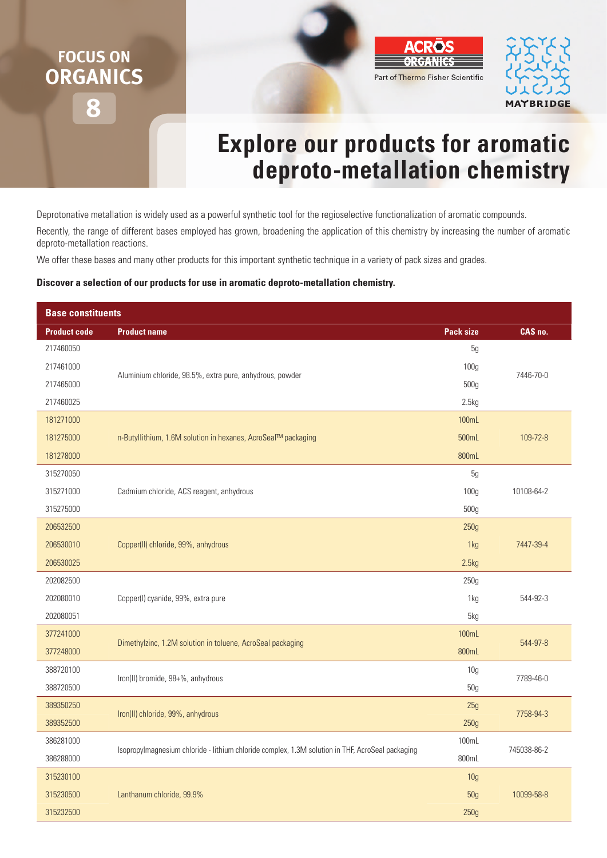## **8 FOCUS ON ORGANICS**



## **Explore our products for aromatic deproto-metallation chemistry**

Deprotonative metallation is widely used as a powerful synthetic tool for the regioselective functionalization of aromatic compounds.

Recently, the range of different bases employed has grown, broadening the application of this chemistry by increasing the number of aromatic deproto-metallation reactions.

We offer these bases and many other products for this important synthetic technique in a variety of pack sizes and grades.

## **Discover a selection of our products for use in aromatic deproto-metallation chemistry.**

| <b>Base constituents</b> |                                                                                                  |                  |             |
|--------------------------|--------------------------------------------------------------------------------------------------|------------------|-------------|
| <b>Product code</b>      | <b>Product name</b>                                                                              | <b>Pack size</b> | CAS no.     |
| 217460050                |                                                                                                  | 5g               |             |
| 217461000                |                                                                                                  | 100g             | 7446-70-0   |
| 217465000                | Aluminium chloride, 98.5%, extra pure, anhydrous, powder                                         | 500g             |             |
| 217460025                |                                                                                                  | 2.5kg            |             |
| 181271000                |                                                                                                  | 100mL            |             |
| 181275000                | n-Butyllithium, 1.6M solution in hexanes, AcroSeal™ packaging                                    | 500mL            | 109-72-8    |
| 181278000                |                                                                                                  | 800mL            |             |
| 315270050                |                                                                                                  | 5g               |             |
| 315271000                | Cadmium chloride, ACS reagent, anhydrous                                                         | 100 <sub>g</sub> | 10108-64-2  |
| 315275000                |                                                                                                  | 500g             |             |
| 206532500                |                                                                                                  | 250g             |             |
| 206530010                | Copper(II) chloride, 99%, anhydrous                                                              | 1kg              | 7447-39-4   |
| 206530025                |                                                                                                  | 2.5kg            |             |
| 202082500                |                                                                                                  | 250g             |             |
| 202080010                | Copper(I) cyanide, 99%, extra pure                                                               | 1kg              | 544-92-3    |
| 202080051                |                                                                                                  | 5kg              |             |
| 377241000                | Dimethylzinc, 1.2M solution in toluene, AcroSeal packaging                                       | 100mL            | 544-97-8    |
| 377248000                |                                                                                                  | 800mL            |             |
| 388720100                | Iron(II) bromide, 98+%, anhydrous                                                                | 10 <sub>g</sub>  | 7789-46-0   |
| 388720500                |                                                                                                  | 50g              |             |
| 389350250                | Iron(II) chloride, 99%, anhydrous                                                                | 25g              | 7758-94-3   |
| 389352500                |                                                                                                  | 250g             |             |
| 386281000                | Isopropylmagnesium chloride - lithium chloride complex, 1.3M solution in THF, AcroSeal packaging | 100mL            | 745038-86-2 |
| 386288000                |                                                                                                  | 800mL            |             |
| 315230100                |                                                                                                  | 10 <sub>g</sub>  |             |
| 315230500                | Lanthanum chloride, 99.9%                                                                        | 50 <sub>g</sub>  | 10099-58-8  |
| 315232500                |                                                                                                  | 250g             |             |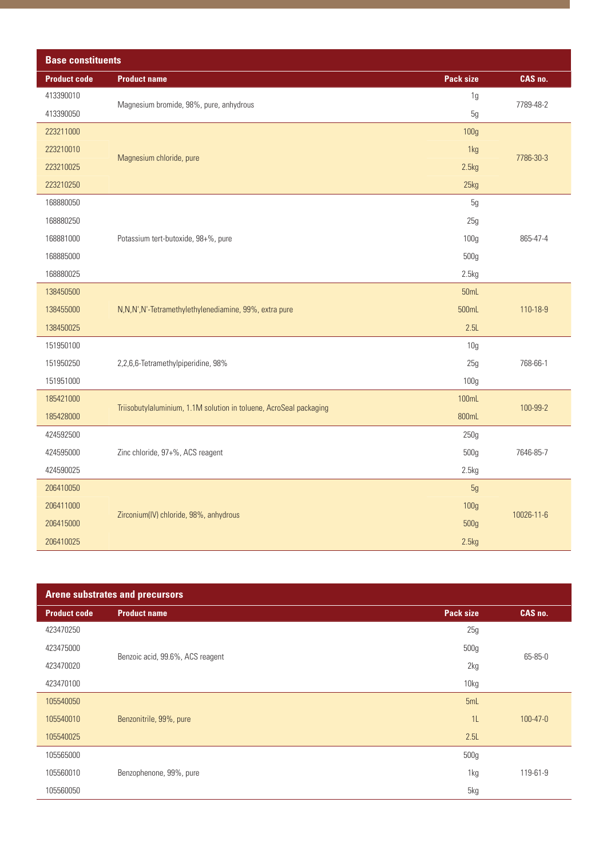| <b>Base constituents</b> |                                                                    |                  |            |
|--------------------------|--------------------------------------------------------------------|------------------|------------|
| <b>Product code</b>      | <b>Product name</b>                                                | Pack size        | CAS no.    |
| 413390010                | Magnesium bromide, 98%, pure, anhydrous                            | 1g               | 7789-48-2  |
| 413390050                |                                                                    | 5g               |            |
| 223211000                |                                                                    | 100g             |            |
| 223210010                |                                                                    | 1kg              | 7786-30-3  |
| 223210025                | Magnesium chloride, pure                                           | 2.5kg            |            |
| 223210250                |                                                                    | 25kg             |            |
| 168880050                |                                                                    | 5g               |            |
| 168880250                |                                                                    | 25g              |            |
| 168881000                | Potassium tert-butoxide, 98+%, pure                                | 100 <sub>g</sub> | 865-47-4   |
| 168885000                |                                                                    | 500g             |            |
| 168880025                |                                                                    | 2.5kg            |            |
| 138450500                |                                                                    | 50mL             |            |
| 138455000                | N,N,N',N'-Tetramethylethylenediamine, 99%, extra pure              | 500mL            | 110-18-9   |
| 138450025                |                                                                    | 2.5L             |            |
| 151950100                |                                                                    | 10 <sub>g</sub>  |            |
| 151950250                | 2,2,6,6-Tetramethylpiperidine, 98%                                 | 25g              | 768-66-1   |
| 151951000                |                                                                    | 100g             |            |
| 185421000                |                                                                    | 100mL            |            |
| 185428000                | Triisobutylaluminium, 1.1M solution in toluene, AcroSeal packaging | 800mL            | 100-99-2   |
| 424592500                |                                                                    | 250g             |            |
| 424595000                | Zinc chloride, 97+%, ACS reagent                                   | 500g             | 7646-85-7  |
| 424590025                |                                                                    | 2.5kg            |            |
| 206410050                |                                                                    | 5g               |            |
| 206411000                |                                                                    | 100g             |            |
| 206415000                | Zirconium(IV) chloride, 98%, anhydrous                             | 500g             | 10026-11-6 |
| 206410025                |                                                                    | 2.5kg            |            |

| <b>Arene substrates and precursors</b> |                                  |                  |                |
|----------------------------------------|----------------------------------|------------------|----------------|
| <b>Product code</b>                    | <b>Product name</b>              | <b>Pack size</b> | CAS no.        |
| 423470250                              |                                  | 25g              | 65-85-0        |
| 423475000                              |                                  | 500g             |                |
| 423470020                              | Benzoic acid, 99.6%, ACS reagent | 2kg              |                |
| 423470100                              |                                  | 10kg             |                |
| 105540050                              |                                  | 5mL              |                |
| 105540010                              | Benzonitrile, 99%, pure          | 1L               | $100 - 47 - 0$ |
| 105540025                              |                                  | 2.5L             |                |
| 105565000                              |                                  | 500g             |                |
| 105560010                              | Benzophenone, 99%, pure          | 1kg              | 119-61-9       |
| 105560050                              |                                  | 5kg              |                |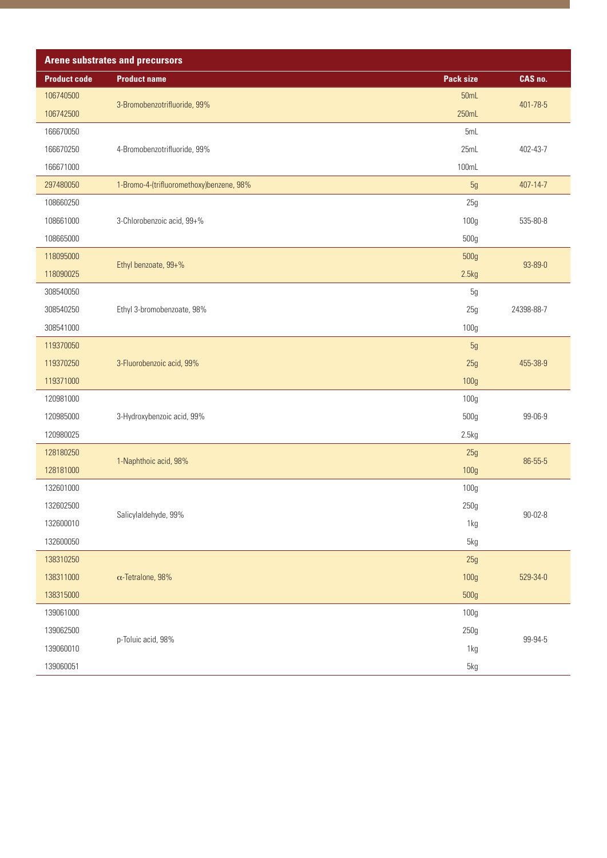| <b>Arene substrates and precursors</b> |                                          |                  |               |
|----------------------------------------|------------------------------------------|------------------|---------------|
| <b>Product code</b>                    | <b>Product name</b>                      | <b>Pack size</b> | CAS no.       |
| 106740500                              | 3-Bromobenzotrifluoride, 99%             | 50mL             |               |
| 106742500                              |                                          | 250mL            | 401-78-5      |
| 166670050                              |                                          | 5mL              |               |
| 166670250                              | 4-Bromobenzotrifluoride, 99%             | 25mL             | 402-43-7      |
| 166671000                              |                                          | 100mL            |               |
| 297480050                              | 1-Bromo-4-(trifluoromethoxy)benzene, 98% | 5g               | 407-14-7      |
| 108660250                              |                                          | 25g              |               |
| 108661000                              | 3-Chlorobenzoic acid, 99+%               | 100g             | 535-80-8      |
| 108665000                              |                                          | 500g             |               |
| 118095000                              | Ethyl benzoate, 99+%                     | 500g             | 93-89-0       |
| 118090025                              |                                          | 2.5kg            |               |
| 308540050                              |                                          | 5g               |               |
| 308540250                              | Ethyl 3-bromobenzoate, 98%               | 25g              | 24398-88-7    |
| 308541000                              |                                          | 100g             |               |
| 119370050                              |                                          | 5g               |               |
| 119370250                              | 3-Fluorobenzoic acid, 99%                | 25g              | 455-38-9      |
| 119371000                              |                                          | 100g             |               |
| 120981000                              |                                          | 100g             |               |
| 120985000                              | 3-Hydroxybenzoic acid, 99%               | 500g             | 99-06-9       |
| 120980025                              |                                          | 2.5kg            |               |
| 128180250                              | 1-Naphthoic acid, 98%                    | 25g              | 86-55-5       |
| 128181000                              |                                          | 100g             |               |
| 132601000                              |                                          | 100g             |               |
| 132602500                              | Salicylaldehyde, 99%                     | 250g             | $90 - 02 - 8$ |
| 132600010                              |                                          | 1kg              |               |
| 132600050                              |                                          | 5kg              |               |
| 138310250                              |                                          | 25g              |               |
| 138311000                              | $\alpha$ -Tetralone, 98%                 | 100g             | 529-34-0      |
| 138315000                              |                                          | 500g             |               |
| 139061000                              |                                          | 100g             |               |
| 139062500                              | p-Toluic acid, 98%                       | 250g             | 99-94-5       |
| 139060010                              |                                          | 1kg              |               |
| 139060051                              |                                          | 5kg              |               |